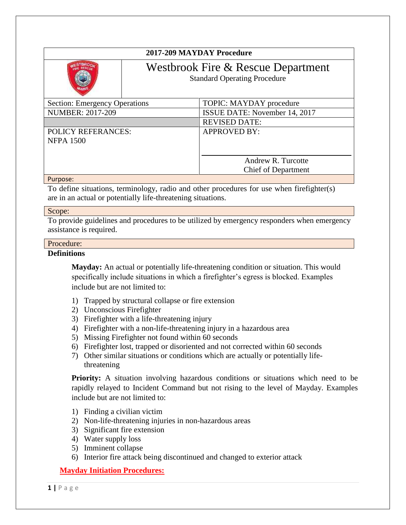| 2017-209 MAYDAY Procedure                     |                                                                           |                                                  |
|-----------------------------------------------|---------------------------------------------------------------------------|--------------------------------------------------|
|                                               | Westbrook Fire & Rescue Department<br><b>Standard Operating Procedure</b> |                                                  |
| <b>Section: Emergency Operations</b>          |                                                                           | TOPIC: MAYDAY procedure                          |
| <b>NUMBER: 2017-209</b>                       |                                                                           | ISSUE DATE: November 14, 2017                    |
|                                               |                                                                           | <b>REVISED DATE:</b>                             |
| <b>POLICY REFERANCES:</b><br><b>NFPA 1500</b> |                                                                           | <b>APPROVED BY:</b>                              |
|                                               |                                                                           | Andrew R. Turcotte<br><b>Chief of Department</b> |
| Purpose:                                      |                                                                           |                                                  |

To define situations, terminology, radio and other procedures for use when firefighter(s) are in an actual or potentially life-threatening situations.

#### Scope:

To provide guidelines and procedures to be utilized by emergency responders when emergency assistance is required.

#### Procedure:

#### **Definitions**

**Mayday:** An actual or potentially life-threatening condition or situation. This would specifically include situations in which a firefighter's egress is blocked. Examples include but are not limited to:

- 1) Trapped by structural collapse or fire extension
- 2) Unconscious Firefighter
- 3) Firefighter with a life-threatening injury
- 4) Firefighter with a non-life-threatening injury in a hazardous area
- 5) Missing Firefighter not found within 60 seconds
- 6) Firefighter lost, trapped or disoriented and not corrected within 60 seconds
- 7) Other similar situations or conditions which are actually or potentially lifethreatening

**Priority:** A situation involving hazardous conditions or situations which need to be rapidly relayed to Incident Command but not rising to the level of Mayday. Examples include but are not limited to:

- 1) Finding a civilian victim
- 2) Non-life-threatening injuries in non-hazardous areas
- 3) Significant fire extension
- 4) Water supply loss
- 5) Imminent collapse
- 6) Interior fire attack being discontinued and changed to exterior attack

## **Mayday Initiation Procedures:**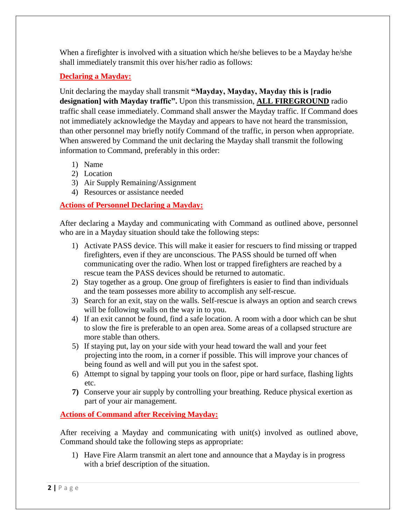When a firefighter is involved with a situation which he/she believes to be a Mayday he/she shall immediately transmit this over his/her radio as follows:

# **Declaring a Mayday:**

Unit declaring the mayday shall transmit **"Mayday, Mayday, Mayday this is [radio designation] with Mayday traffic".** Upon this transmission, **ALL FIREGROUND** radio traffic shall cease immediately. Command shall answer the Mayday traffic. If Command does not immediately acknowledge the Mayday and appears to have not heard the transmission, than other personnel may briefly notify Command of the traffic, in person when appropriate. When answered by Command the unit declaring the Mayday shall transmit the following information to Command, preferably in this order:

- 1) Name
- 2) Location
- 3) Air Supply Remaining/Assignment
- 4) Resources or assistance needed

## **Actions of Personnel Declaring a Mayday:**

After declaring a Mayday and communicating with Command as outlined above, personnel who are in a Mayday situation should take the following steps:

- 1) Activate PASS device. This will make it easier for rescuers to find missing or trapped firefighters, even if they are unconscious. The PASS should be turned off when communicating over the radio. When lost or trapped firefighters are reached by a rescue team the PASS devices should be returned to automatic.
- 2) Stay together as a group. One group of firefighters is easier to find than individuals and the team possesses more ability to accomplish any self-rescue.
- 3) Search for an exit, stay on the walls. Self-rescue is always an option and search crews will be following walls on the way in to you.
- 4) If an exit cannot be found, find a safe location. A room with a door which can be shut to slow the fire is preferable to an open area. Some areas of a collapsed structure are more stable than others.
- 5) If staying put, lay on your side with your head toward the wall and your feet projecting into the room, in a corner if possible. This will improve your chances of being found as well and will put you in the safest spot.
- 6) Attempt to signal by tapping your tools on floor, pipe or hard surface, flashing lights etc.
- **7)** Conserve your air supply by controlling your breathing. Reduce physical exertion as part of your air management.

## **Actions of Command after Receiving Mayday:**

After receiving a Mayday and communicating with unit(s) involved as outlined above, Command should take the following steps as appropriate:

1) Have Fire Alarm transmit an alert tone and announce that a Mayday is in progress with a brief description of the situation.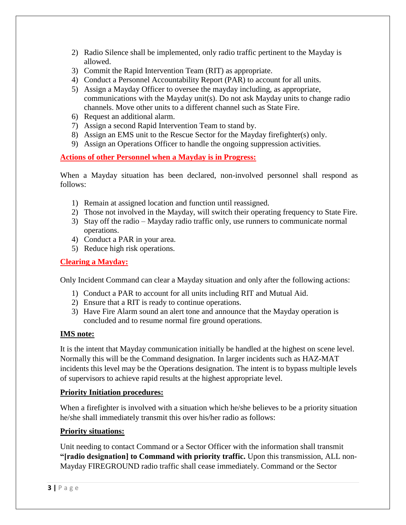- 2) Radio Silence shall be implemented, only radio traffic pertinent to the Mayday is allowed.
- 3) Commit the Rapid Intervention Team (RIT) as appropriate.
- 4) Conduct a Personnel Accountability Report (PAR) to account for all units.
- 5) Assign a Mayday Officer to oversee the mayday including, as appropriate, communications with the Mayday unit(s). Do not ask Mayday units to change radio channels. Move other units to a different channel such as State Fire.
- 6) Request an additional alarm.
- 7) Assign a second Rapid Intervention Team to stand by.
- 8) Assign an EMS unit to the Rescue Sector for the Mayday firefighter(s) only.
- 9) Assign an Operations Officer to handle the ongoing suppression activities.

## **Actions of other Personnel when a Mayday is in Progress:**

When a Mayday situation has been declared, non-involved personnel shall respond as follows:

- 1) Remain at assigned location and function until reassigned.
- 2) Those not involved in the Mayday, will switch their operating frequency to State Fire.
- 3) Stay off the radio Mayday radio traffic only, use runners to communicate normal operations.
- 4) Conduct a PAR in your area.
- 5) Reduce high risk operations.

#### **Clearing a Mayday:**

Only Incident Command can clear a Mayday situation and only after the following actions:

- 1) Conduct a PAR to account for all units including RIT and Mutual Aid.
- 2) Ensure that a RIT is ready to continue operations.
- 3) Have Fire Alarm sound an alert tone and announce that the Mayday operation is concluded and to resume normal fire ground operations.

### **IMS note:**

It is the intent that Mayday communication initially be handled at the highest on scene level. Normally this will be the Command designation. In larger incidents such as HAZ-MAT incidents this level may be the Operations designation. The intent is to bypass multiple levels of supervisors to achieve rapid results at the highest appropriate level.

### **Priority Initiation procedures:**

When a firefighter is involved with a situation which he/she believes to be a priority situation he/she shall immediately transmit this over his/her radio as follows:

### **Priority situations:**

Unit needing to contact Command or a Sector Officer with the information shall transmit **"[radio designation] to Command with priority traffic.** Upon this transmission, ALL non-Mayday FIREGROUND radio traffic shall cease immediately. Command or the Sector